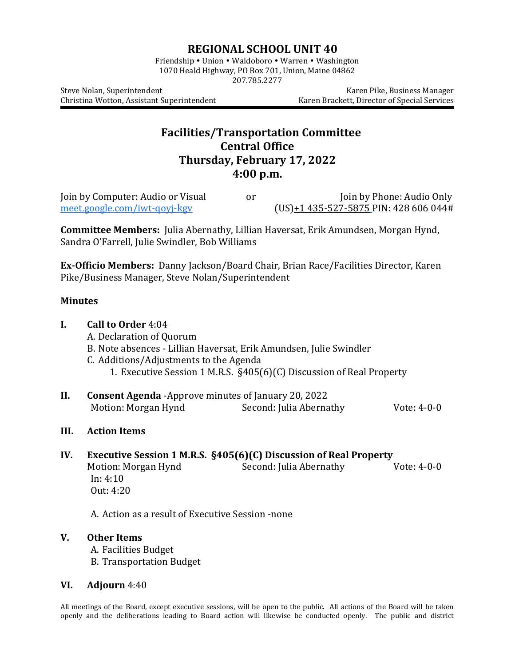## **REGIONAL SCHOOL UNIT 40**

Friendship • Union • Waldoboro • Warren • Washington 1070 Heald Highway, PO Box 701, Union, Maine 04862 207.785.2277

Steve Nolan, Superintendent **Karen Pike, Business Manager** Karen Pike, Business Manager Christina Wotton, Assistant Superintendent Karen Brackett, Director of Special Services

## **Facilities/Transportation Committee Central Office Thursday, February 17, 2022 4:00 p.m.**

| Join by Computer: Audio or Visual | or | Join by Phone: Audio Only                    |
|-----------------------------------|----|----------------------------------------------|
| meet.google.com/iwt-goyj-kgy      |    | $(US) + 1435 - 527 - 5875$ PIN: 428 606 044# |

**Committee Members:** Julia Abernathy, Lillian Haversat, Erik Amundsen, Morgan Hynd, Sandra O'Farrell, Julie Swindler, Bob Williams

**Ex-Officio Members:** Danny Jackson/Board Chair, Brian Race/Facilities Director, Karen Pike/Business Manager, Steve Nolan/Superintendent

## **Minutes**

| <b>I.</b> | Call to Order 4:04                                                                                                                                                                                               |                         |               |  |  |
|-----------|------------------------------------------------------------------------------------------------------------------------------------------------------------------------------------------------------------------|-------------------------|---------------|--|--|
|           | A. Declaration of Quorum<br>B. Note absences - Lillian Haversat, Erik Amundsen, Julie Swindler<br>C. Additions/Adjustments to the Agenda<br>1. Executive Session 1 M.R.S. §405(6)(C) Discussion of Real Property |                         |               |  |  |
|           |                                                                                                                                                                                                                  |                         |               |  |  |
|           |                                                                                                                                                                                                                  |                         |               |  |  |
|           |                                                                                                                                                                                                                  |                         |               |  |  |
| II.       | <b>Consent Agenda</b> - Approve minutes of January 20, 2022                                                                                                                                                      |                         |               |  |  |
|           | Motion: Morgan Hynd                                                                                                                                                                                              | Second: Julia Abernathy | Vote: $4-0-0$ |  |  |
| III.      | <b>Action Items</b>                                                                                                                                                                                              |                         |               |  |  |
| IV.       | Executive Session 1 M.R.S. §405(6)(C) Discussion of Real Property                                                                                                                                                |                         |               |  |  |
|           | Motion: Morgan Hynd                                                                                                                                                                                              | Second: Julia Abernathy | Vote: 4-0-0   |  |  |
|           | In: 4:10                                                                                                                                                                                                         |                         |               |  |  |
|           | Out: 4:20                                                                                                                                                                                                        |                         |               |  |  |
|           | A. Action as a result of Executive Session -none                                                                                                                                                                 |                         |               |  |  |
| V.        | <b>Other Items</b>                                                                                                                                                                                               |                         |               |  |  |
|           |                                                                                                                                                                                                                  |                         |               |  |  |

B. Transportation Budget

## **VI. Adjourn** 4:40

All meetings of the Board, except executive sessions, will be open to the public. All actions of the Board will be taken openly and the deliberations leading to Board action will likewise be conducted openly. The public and district